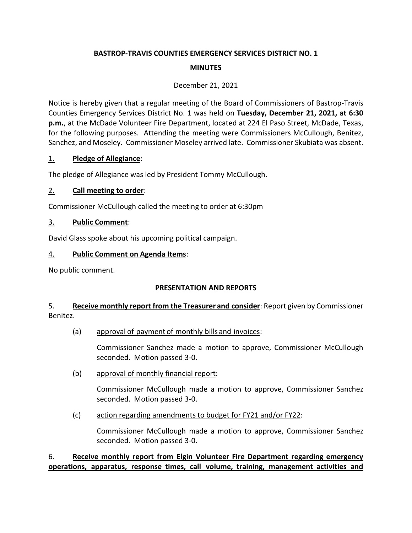# **BASTROP-TRAVIS COUNTIES EMERGENCY SERVICES DISTRICT NO. 1 MINUTES**

#### December 21, 2021

Notice is hereby given that a regular meeting of the Board of Commissioners of Bastrop-Travis Counties Emergency Services District No. 1 was held on **Tuesday, December 21, 2021, at 6:30 p.m.**, at the McDade Volunteer Fire Department, located at 224 El Paso Street, McDade, Texas, for the following purposes. Attending the meeting were Commissioners McCullough, Benitez, Sanchez, and Moseley. Commissioner Moseley arrived late. Commissioner Skubiata was absent.

#### 1. **Pledge of Allegiance**:

The pledge of Allegiance was led by President Tommy McCullough.

## 2. **Call meeting to order**:

Commissioner McCullough called the meeting to order at 6:30pm

#### 3. **Public Comment**:

David Glass spoke about his upcoming political campaign.

#### 4. **Public Comment on Agenda Items**:

No public comment.

#### **PRESENTATION AND REPORTS**

#### 5. **Receive monthly report from the Treasurer and consider**: Report given by Commissioner Benitez.

(a) approval of payment of monthly bills and invoices:

Commissioner Sanchez made a motion to approve, Commissioner McCullough seconded. Motion passed 3-0.

(b) approval of monthly financial report:

Commissioner McCullough made a motion to approve, Commissioner Sanchez seconded. Motion passed 3-0.

(c) action regarding amendments to budget for FY21 and/or FY22:

Commissioner McCullough made a motion to approve, Commissioner Sanchez seconded. Motion passed 3-0.

#### 6. **Receive monthly report from Elgin Volunteer Fire Department regarding emergency operations, apparatus, response times, call volume, training, management activities and**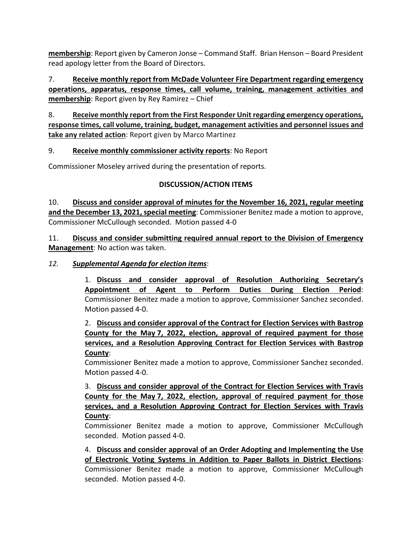**membership**: Report given by Cameron Jonse – Command Staff. Brian Henson – Board President read apology letter from the Board of Directors.

7. **Receive monthly report from McDade Volunteer Fire Department regarding emergency operations, apparatus, response times, call volume, training, management activities and membership**: Report given by Rey Ramirez – Chief

8. **Receive monthly report from the First Responder Unit regarding emergency operations, response times, call volume, training, budget, management activities and personnel issues and take any related action**: Report given by Marco Martinez

#### 9. **Receive monthly commissioner activity reports**: No Report

Commissioner Moseley arrived during the presentation of reports.

#### **DISCUSSION/ACTION ITEMS**

10. **Discuss and consider approval of minutes for the November 16, 2021, regular meeting and the December 13, 2021, special meeting**: Commissioner Benitez made a motion to approve, Commissioner McCullough seconded. Motion passed 4-0

11. **Discuss and consider submitting required annual report to the Division of Emergency Management**: No action was taken.

#### *12. Supplemental Agenda for election items*:

1. **Discuss and consider approval of Resolution Authorizing Secretary's Appointment of Agent to Perform Duties During Election Period**: Commissioner Benitez made a motion to approve, Commissioner Sanchez seconded. Motion passed 4-0.

2. **Discuss and consider approval of the Contract for Election Services with Bastrop County for the May 7, 2022, election, approval of required payment for those services, and a Resolution Approving Contract for Election Services with Bastrop County**:

Commissioner Benitez made a motion to approve, Commissioner Sanchez seconded. Motion passed 4-0.

3. **Discuss and consider approval of the Contract for Election Services with Travis County for the May 7, 2022, election, approval of required payment for those services, and a Resolution Approving Contract for Election Services with Travis County**:

Commissioner Benitez made a motion to approve, Commissioner McCullough seconded. Motion passed 4-0.

4. **Discuss and consider approval of an Order Adopting and Implementing the Use of Electronic Voting Systems in Addition to Paper Ballots in District Elections**: Commissioner Benitez made a motion to approve, Commissioner McCullough seconded. Motion passed 4-0.